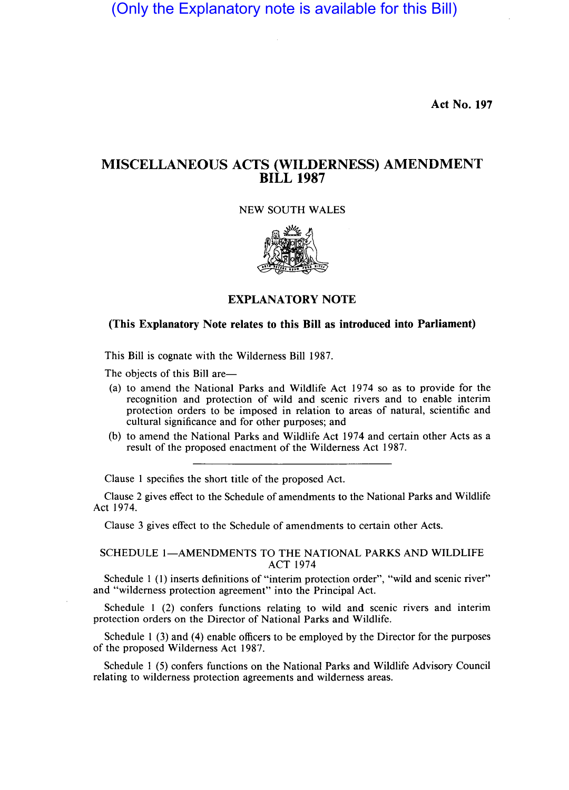(Only the Explanatory note is available for this Bill)

**Act No. 197** 

## **MISCELLANEOUS ACTS (WILDERNESS) AMENDMENT BILL 1987**

NEW SOUTH WALES



## **EXPLANATORY NOTE**

### **(This Explanatory Note relates to this Bill as introduced into Parliament)**

This Bill is cognate with the Wilderness Bill 1987.

The objects of this Bill are—

- (a) to amend the National Parks and Wildlife Act 1974 so as to provide for the recognition and protection of wild and scenic rivers and to enable interim protection orders to be imposed in relation to areas of natural, scientific and cultural significance and for other purposes; and
- (b) to amend the National Parks and Wildlife Act 1974 and certain other Acts as a result of the proposed enactment of the Wilderness Act 1987.

Clause I specifies the short title of the proposed Act.

Clause 2 gives effect to the Schedule of amendments to the National Parks and Wildlife Act 1974.

Clause 3 gives effect to the Schedule of amendments to certain other Acts.

#### SCHEDULE 1-AMENDMENTS TO THE NATIONAL PARKS AND WILDLIFE ACT 1974

Schedule 1 (1) inserts definitions of "interim protection order", "wild and scenic river" and "wilderness protection agreement" into the Principal Act.

Schedule 1 (2) confers functions relating to wild and scenic rivers and interim protection orders on the Director of National Parks and Wildlife.

Schedule 1 (3) and (4) enable officers to be employed by the Director for the purposes of the proposed Wilderness Act 1987.

Schedule 1 (5) confers functions on the National Parks and Wildlife Advisory Council relating to wilderness protection agreements and wilderness areas.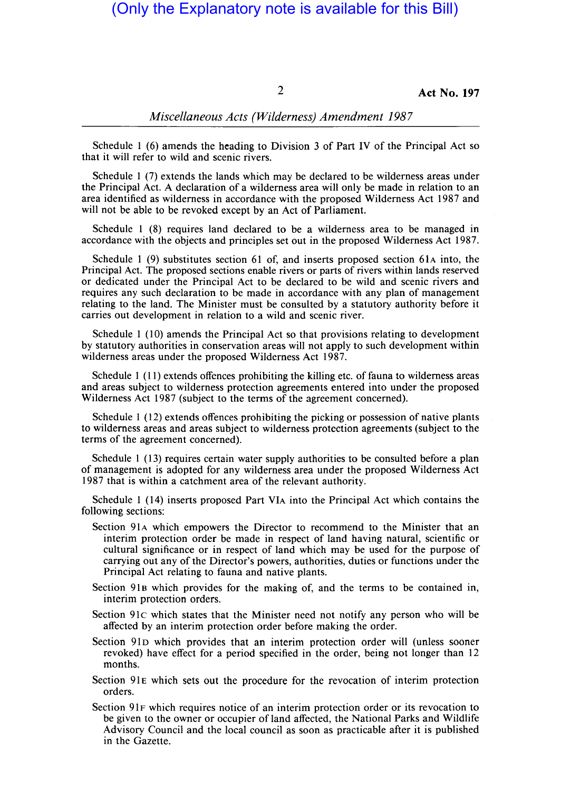# (Only the Explanatory note is available for this Bill)

2 **Act No. 197** 

### *Miscellaneous Acts (Wilderness) Amendment 1987*

Schedule 1 (6) amends the heading to Division 3 of Part IV of the Principal Act so that it will refer to wild and scenic rivers.

Schedule 1 (7) extends the lands which may be declared to be wilderness areas under the Principal Act. A declaration of a wilderness area will only be made in relation to an area identified as wilderness in accordance with the proposed Wilderness Act 1987 and will not be able to be revoked except by an Act of Parliament.

Schedule 1 (8) requires land declared to be a wilderness area to be managed in accordance with the objects and principles set out in the proposed Wilderness Act 1987.

Schedule 1 (9) substitutes section 61 of, and inserts proposed section 61A into, the Principal Act. The proposed sections enable rivers or parts of rivers within lands reserved or dedicated under the Principal Act to be declared to be wild and scenic rivers and requires any such declaration to be made in accordance with any plan of management relating to the land. The Minister must be consulted by a statutory authority before it carries out development in relation to a wild and scenic river.

Schedule 1 (10) amends the Principal Act so that provisions relating to development by statutory authorities in conservation areas will not apply to such development within wilderness areas under the proposed Wilderness Act 1987.

Schedule 1 (11) extends offences prohibiting the killing etc. of fauna to wilderness areas and areas subject to wilderness protection agreements entered into under the proposed Wilderness Act 1987 (subject to the terms of the agreement concerned).

Schedule 1 (12) extends offences prohibiting the picking or possession of native plants to wilderness areas and areas subject to wilderness protection agreements (subject to the terms of the agreement concerned).

Schedule 1 (13) requires certain water supply authorities to be consulted before a plan of management is adopted for any wilderness area under the proposed Wilderness Act 1987 that is within a catchment area of the relevant authority.

Schedule 1 (14) inserts proposed Part VIA into the Principal Act which contains the following sections:

- Section 91A which empowers the Director to recommend to the Minister that an interim protection order be made in respect of land having natural, scientific or cultural significance or in respect of land which may be used for the purpose of carrying out any of the Director's powers, authorities, duties or functions under the Principal Act relating to fauna and native plants.
- Section 91B which provides for the making of, and the terms to be contained in, interim protection orders.
- Section 91c which states that the Minister need not notify any person who will be affected by an interim protection order before making the order.
- Section 91D which provides that an interim protection order will (unless sooner revoked) have effect for a period specified in the order, being not longer than 12 months.
- Section 91E which sets out the procedure for the revocation of interim protection orders.
- Section 91F which requires notice of an interim protection order or its revocation to be given to the owner or occupier of land affected, the National Parks and Wildlife Advisory Council and the local council as soon as practicable after it is published in the Gazette.